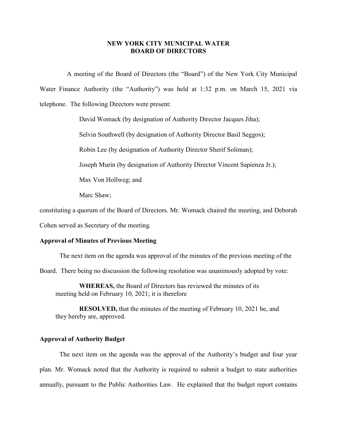## **NEW YORK CITY MUNICIPAL WATER BOARD OF DIRECTORS**

A meeting of the Board of Directors (the "Board") of the New York City Municipal Water Finance Authority (the "Authority") was held at 1:32 p.m. on March 15, 2021 via telephone. The following Directors were present:

David Womack (by designation of Authority Director Jacques Jiha);

Selvin Southwell (by designation of Authority Director Basil Seggos);

Robin Lee (by designation of Authority Director Sherif Soliman);

Joseph Murin (by designation of Authority Director Vincent Sapienza Jr.);

Max Von Hollweg; and

Marc Shaw;

constituting a quorum of the Board of Directors. Mr. Womack chaired the meeting, and Deborah

Cohen served as Secretary of the meeting.

## **Approval of Minutes of Previous Meeting**

The next item on the agenda was approval of the minutes of the previous meeting of the

Board. There being no discussion the following resolution was unanimously adopted by vote:

**WHEREAS,** the Board of Directors has reviewed the minutes of its meeting held on February 10, 2021; it is therefore

**RESOLVED,** that the minutes of the meeting of February 10, 2021 be, and they hereby are, approved.

## **Approval of Authority Budget**

The next item on the agenda was the approval of the Authority's budget and four year plan. Mr. Womack noted that the Authority is required to submit a budget to state authorities annually, pursuant to the Public Authorities Law. He explained that the budget report contains